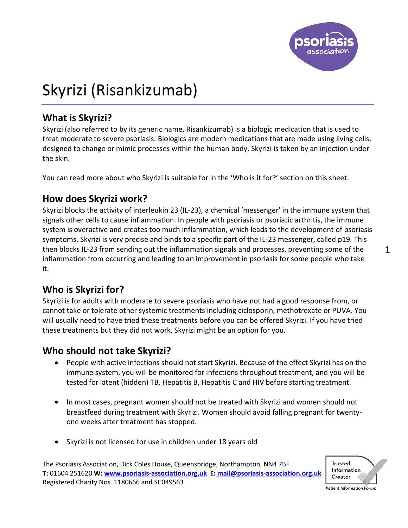

# Skyrizi (Risankizumab)

# **What is Skyrizi?**

Skyrizi (also referred to by its generic name, Risankizumab) is a biologic medication that is used to treat moderate to severe psoriasis. Biologics are modern medications that are made using living cells, designed to change or mimic processes within the human body. Skyrizi is taken by an injection under the skin.

You can read more about who Skyrizi is suitable for in the 'Who is it for?' section on this sheet.

#### **How does Skyrizi work?**

Skyrizi blocks the activity of interleukin 23 (IL-23), a chemical 'messenger' in the immune system that signals other cells to cause inflammation. In people with psoriasis or psoriatic arthritis, the immune system is overactive and creates too much inflammation, which leads to the development of psoriasis symptoms. Skyrizi is very precise and binds to a specific part of the IL-23 messenger, called p19. This then blocks IL-23 from sending out the inflammation signals and processes, preventing some of the inflammation from occurring and leading to an improvement in psoriasis for some people who take it.

#### **Who is Skyrizi for?**

Skyrizi is for adults with moderate to severe psoriasis who have not had a good response from, or cannot take or tolerate other systemic treatments including ciclosporin, methotrexate or PUVA. You will usually need to have tried these treatments before you can be offered Skyrizi. If you have tried these treatments but they did not work, Skyrizi might be an option for you.

#### **Who should not take Skyrizi?**

- People with active infections should not start Skyrizi. Because of the effect Skyrizi has on the immune system, you will be monitored for infections throughout treatment, and you will be tested for latent (hidden) TB, Hepatitis B, Hepatitis C and HIV before starting treatment.
- In most cases, pregnant women should not be treated with Skyrizi and women should not breastfeed during treatment with Skyrizi. Women should avoid falling pregnant for twentyone weeks after treatment has stopped.
- Skyrizi is not licensed for use in children under 18 years old

The Psoriasis Association, Dick Coles House, Queensbridge, Northampton, NN4 7BF **T:** 01604 251620 **W[: www.psoriasis-association.org.uk](http://www.psoriasis-association.org.uk/) E: [mail@psoriasis-association.org.uk](mailto:E:%20mail@psoriasis-association.org.uk)** Registered Charity Nos. 1180666 and SC049563



1

Patient Information Forum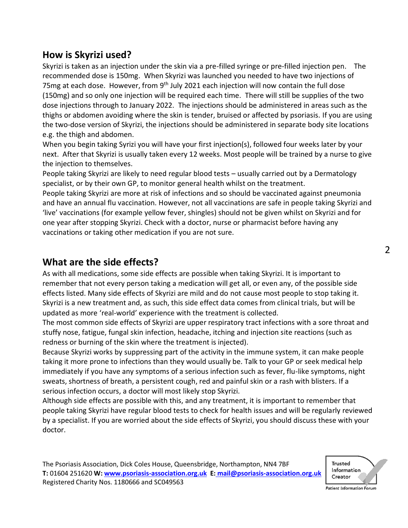# **How is Skyrizi used?**

Skyrizi is taken as an injection under the skin via a pre-filled syringe or pre-filled injection pen. The recommended dose is 150mg. When Skyrizi was launched you needed to have two injections of 75mg at each dose. However, from 9<sup>th</sup> July 2021 each injection will now contain the full dose (150mg) and so only one injection will be required each time. There will still be supplies of the two dose injections through to January 2022. The injections should be administered in areas such as the thighs or abdomen avoiding where the skin is tender, bruised or affected by psoriasis. If you are using the two-dose version of Skyrizi, the injections should be administered in separate body site locations e.g. the thigh and abdomen.

When you begin taking Syrizi you will have your first injection(s), followed four weeks later by your next. After that Skyrizi is usually taken every 12 weeks. Most people will be trained by a nurse to give the injection to themselves.

People taking Skyrizi are likely to need regular blood tests – usually carried out by a Dermatology specialist, or by their own GP, to monitor general health whilst on the treatment.

People taking Skyrizi are more at risk of infections and so should be vaccinated against pneumonia and have an annual flu vaccination. However, not all vaccinations are safe in people taking Skyrizi and 'live' vaccinations (for example yellow fever, shingles) should not be given whilst on Skyrizi and for one year after stopping Skyrizi. Check with a doctor, nurse or pharmacist before having any vaccinations or taking other medication if you are not sure.

#### **What are the side effects?**

As with all medications, some side effects are possible when taking Skyrizi. It is important to remember that not every person taking a medication will get all, or even any, of the possible side effects listed. Many side effects of Skyrizi are mild and do not cause most people to stop taking it. Skyrizi is a new treatment and, as such, this side effect data comes from clinical trials, but will be updated as more 'real-world' experience with the treatment is collected.

The most common side effects of Skyrizi are upper respiratory tract infections with a sore throat and stuffy nose, fatigue, fungal skin infection, headache, itching and injection site reactions (such as redness or burning of the skin where the treatment is injected).

Because Skyrizi works by suppressing part of the activity in the immune system, it can make people taking it more prone to infections than they would usually be. Talk to your GP or seek medical help immediately if you have any symptoms of a serious infection such as fever, flu-like symptoms, night sweats, shortness of breath, a persistent cough, red and painful skin or a rash with blisters. If a serious infection occurs, a doctor will most likely stop Skyrizi.

Although side effects are possible with this, and any treatment, it is important to remember that people taking Skyrizi have regular blood tests to check for health issues and will be regularly reviewed by a specialist. If you are worried about the side effects of Skyrizi, you should discuss these with your doctor.



 $\overline{2}$